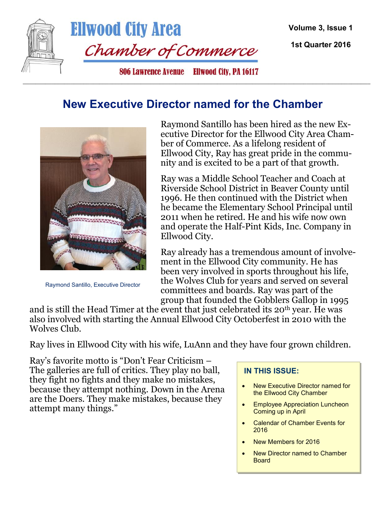

**Ellwood City Area** Chamber of Commerce

**Volume 3, Issue 1** 

**1st Quarter 2016**

806 Lawrence Avenue Eliwood City, PA 16117

#### **New Executive Director named for the Chamber**

 $\_$  ,  $\_$  ,  $\_$  ,  $\_$  ,  $\_$  ,  $\_$  ,  $\_$  ,  $\_$  ,  $\_$  ,  $\_$  ,  $\_$  ,  $\_$  ,  $\_$  ,  $\_$  ,  $\_$  ,  $\_$  ,  $\_$  ,  $\_$  ,  $\_$  ,  $\_$  ,  $\_$  ,  $\_$  ,  $\_$  ,  $\_$  ,  $\_$  ,  $\_$  ,  $\_$  ,  $\_$  ,  $\_$  ,  $\_$  ,  $\_$  ,  $\_$  ,  $\_$  ,  $\_$  ,  $\_$  ,  $\_$  ,  $\_$  ,



Raymond Santillo, Executive Director

Raymond Santillo has been hired as the new Executive Director for the Ellwood City Area Chamber of Commerce. As a lifelong resident of Ellwood City, Ray has great pride in the community and is excited to be a part of that growth.

Ray was a Middle School Teacher and Coach at Riverside School District in Beaver County until 1996. He then continued with the District when he became the Elementary School Principal until 2011 when he retired. He and his wife now own and operate the Half-Pint Kids, Inc. Company in Ellwood City.

Ray already has a tremendous amount of involvement in the Ellwood City community. He has been very involved in sports throughout his life, the Wolves Club for years and served on several committees and boards. Ray was part of the group that founded the Gobblers Gallop in 1995

and is still the Head Timer at the event that just celebrated its 20<sup>th</sup> year. He was also involved with starting the Annual Ellwood City Octoberfest in 2010 with the Wolves Club.

Ray lives in Ellwood City with his wife, LuAnn and they have four grown children.

Ray's favorite motto is "Don't Fear Criticism – The galleries are full of critics. They play no ball, they fight no fights and they make no mistakes, because they attempt nothing. Down in the Arena are the Doers. They make mistakes, because they attempt many things."

#### **IN THIS ISSUE:**

- New Executive Director named for the Ellwood City Chamber
- Employee Appreciation Luncheon Coming up in April
- Calendar of Chamber Events for 2016
- New Members for 2016
- New Director named to Chamber **Board**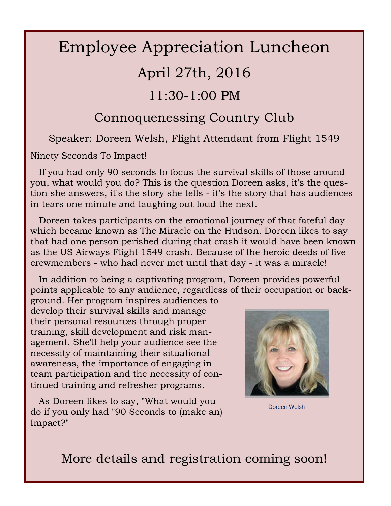# Employee Appreciation Luncheon

## April 27th, 2016

### 11:30-1:00 PM

### Connoquenessing Country Club

Speaker: Doreen Welsh, Flight Attendant from Flight 1549

Ninety Seconds To Impact!

 If you had only 90 seconds to focus the survival skills of those around you, what would you do? This is the question Doreen asks, it's the question she answers, it's the story she tells - it's the story that has audiences in tears one minute and laughing out loud the next.

 Doreen takes participants on the emotional journey of that fateful day which became known as The Miracle on the Hudson. Doreen likes to say that had one person perished during that crash it would have been known as the US Airways Flight 1549 crash. Because of the heroic deeds of five crewmembers - who had never met until that day - it was a miracle!

 In addition to being a captivating program, Doreen provides powerful points applicable to any audience, regardless of their occupation or back-

ground. Her program inspires audiences to develop their survival skills and manage their personal resources through proper training, skill development and risk management. She'll help your audience see the necessity of maintaining their situational awareness, the importance of engaging in team participation and the necessity of continued training and refresher programs.

 As Doreen likes to say, "What would you do if you only had "90 Seconds to (make an) Impact?"



Doreen Welsh

More details and registration coming soon!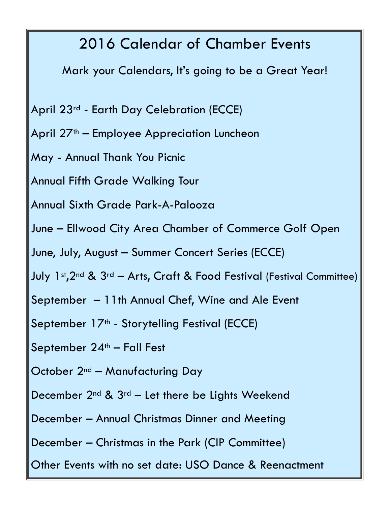# 2016 Calendar of Chamber Events

Mark your Calendars, It's going to be a Great Year!

- April 23rd Earth Day Celebration (ECCE)
- April  $27<sup>th</sup>$  Employee Appreciation Luncheon
- May Annual Thank You Picnic

Annual Fifth Grade Walking Tour

Annual Sixth Grade Park-A-Palooza

June – Ellwood City Area Chamber of Commerce Golf Open

June, July, August – Summer Concert Series (ECCE)

- July 1st, 2nd & 3rd Arts, Craft & Food Festival (Festival Committee)
- September 11th Annual Chef, Wine and Ale Event

September 17<sup>th</sup> - Storytelling Festival (ECCE)

September  $24<sup>th</sup>$  – Fall Fest

October 2<sup>nd</sup> – Manufacturing Day

- December  $2^{nd}$  &  $3^{rd}$  Let there be Lights Weekend
- December Annual Christmas Dinner and Meeting
- December Christmas in the Park (CIP Committee)
- Other Events with no set date: USO Dance & Reenactment